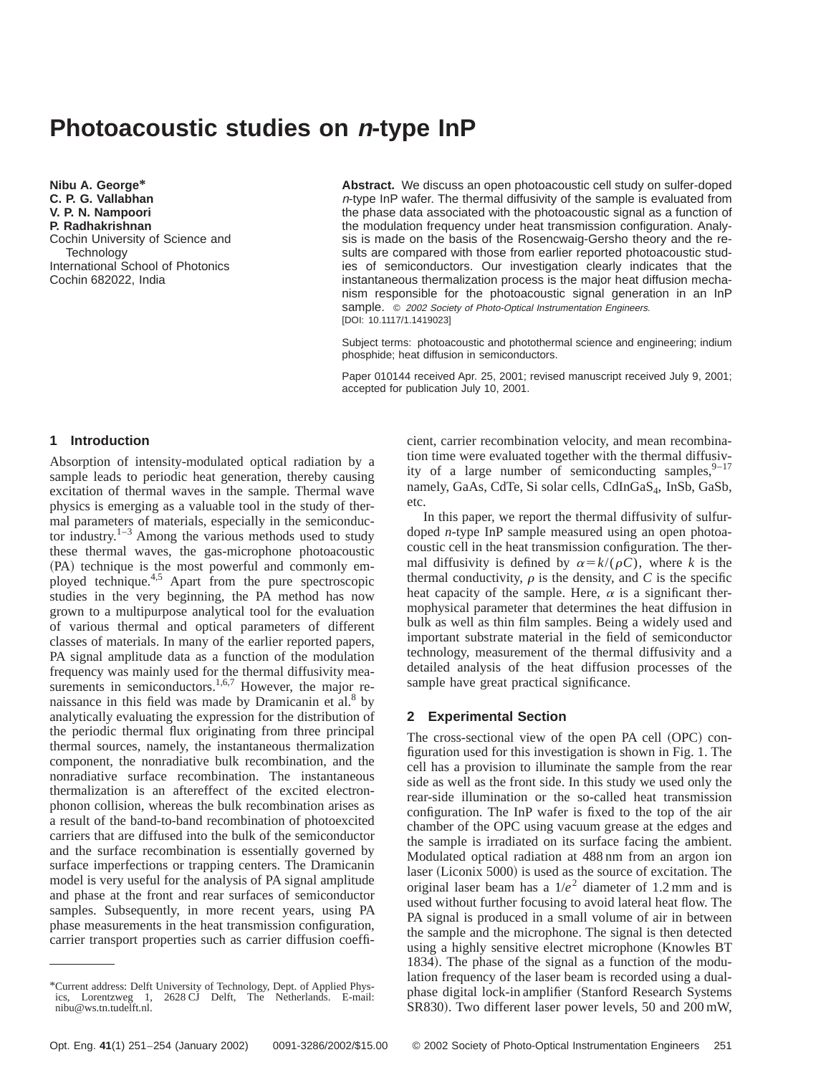# **Photoacoustic studies on <sup>n</sup>-type InP**

**Nibu A. George\* C. P. G. Vallabhan V. P. N. Nampoori P. Radhakrishnan** Cochin University of Science and **Technology** International School of Photonics Cochin 682022, India

**Abstract.** We discuss an open photoacoustic cell study on sulfer-doped <sup>n</sup>-type InP wafer. The thermal diffusivity of the sample is evaluated from the phase data associated with the photoacoustic signal as a function of the modulation frequency under heat transmission configuration. Analysis is made on the basis of the Rosencwaig-Gersho theory and the results are compared with those from earlier reported photoacoustic studies of semiconductors. Our investigation clearly indicates that the instantaneous thermalization process is the major heat diffusion mechanism responsible for the photoacoustic signal generation in an InP sample. © 2002 Society of Photo-Optical Instrumentation Engineers. [DOI: 10.1117/1.1419023]

Subject terms: photoacoustic and photothermal science and engineering; indium phosphide; heat diffusion in semiconductors.

Paper 010144 received Apr. 25, 2001; revised manuscript received July 9, 2001; accepted for publication July 10, 2001.

# **1 Introduction**

Absorption of intensity-modulated optical radiation by a sample leads to periodic heat generation, thereby causing excitation of thermal waves in the sample. Thermal wave physics is emerging as a valuable tool in the study of thermal parameters of materials, especially in the semiconductor industry. $1-3$  Among the various methods used to study these thermal waves, the gas-microphone photoacoustic (PA) technique is the most powerful and commonly employed technique.<sup>4,5</sup> Apart from the pure spectroscopic studies in the very beginning, the PA method has now grown to a multipurpose analytical tool for the evaluation of various thermal and optical parameters of different classes of materials. In many of the earlier reported papers, PA signal amplitude data as a function of the modulation frequency was mainly used for the thermal diffusivity measurements in semiconductors.<sup>1,6,7</sup> However, the major renaissance in this field was made by Dramicanin et al. $8$  by analytically evaluating the expression for the distribution of the periodic thermal flux originating from three principal thermal sources, namely, the instantaneous thermalization component, the nonradiative bulk recombination, and the nonradiative surface recombination. The instantaneous thermalization is an aftereffect of the excited electronphonon collision, whereas the bulk recombination arises as a result of the band-to-band recombination of photoexcited carriers that are diffused into the bulk of the semiconductor and the surface recombination is essentially governed by surface imperfections or trapping centers. The Dramicanin model is very useful for the analysis of PA signal amplitude and phase at the front and rear surfaces of semiconductor samples. Subsequently, in more recent years, using PA phase measurements in the heat transmission configuration, carrier transport properties such as carrier diffusion coefficient, carrier recombination velocity, and mean recombination time were evaluated together with the thermal diffusivity of a large number of semiconducting samples,  $9-17$ namely, GaAs, CdTe, Si solar cells, CdInGaS<sub>4</sub>, InSb, GaSb, etc.

In this paper, we report the thermal diffusivity of sulfurdoped *n*-type InP sample measured using an open photoacoustic cell in the heat transmission configuration. The thermal diffusivity is defined by  $\alpha = k/(\rho C)$ , where *k* is the thermal conductivity,  $\rho$  is the density, and *C* is the specific heat capacity of the sample. Here,  $\alpha$  is a significant thermophysical parameter that determines the heat diffusion in bulk as well as thin film samples. Being a widely used and important substrate material in the field of semiconductor technology, measurement of the thermal diffusivity and a detailed analysis of the heat diffusion processes of the sample have great practical significance.

## **2 Experimental Section**

The cross-sectional view of the open PA cell (OPC) configuration used for this investigation is shown in Fig. 1. The cell has a provision to illuminate the sample from the rear side as well as the front side. In this study we used only the rear-side illumination or the so-called heat transmission configuration. The InP wafer is fixed to the top of the air chamber of the OPC using vacuum grease at the edges and the sample is irradiated on its surface facing the ambient. Modulated optical radiation at 488 nm from an argon ion laser (Liconix 5000) is used as the source of excitation. The original laser beam has a  $1/e^2$  diameter of 1.2 mm and is used without further focusing to avoid lateral heat flow. The PA signal is produced in a small volume of air in between the sample and the microphone. The signal is then detected using a highly sensitive electret microphone (Knowles BT 1834). The phase of the signal as a function of the modulation frequency of the laser beam is recorded using a dualphase digital lock-in amplifier (Stanford Research Systems SR830). Two different laser power levels, 50 and 200 mW,

<sup>\*</sup>Current address: Delft University of Technology, Dept. of Applied Physics, Lorentzweg 1, 2628 CJ Delft, The Netherlands. E-mail: nibu@ws.tn.tudelft.nl.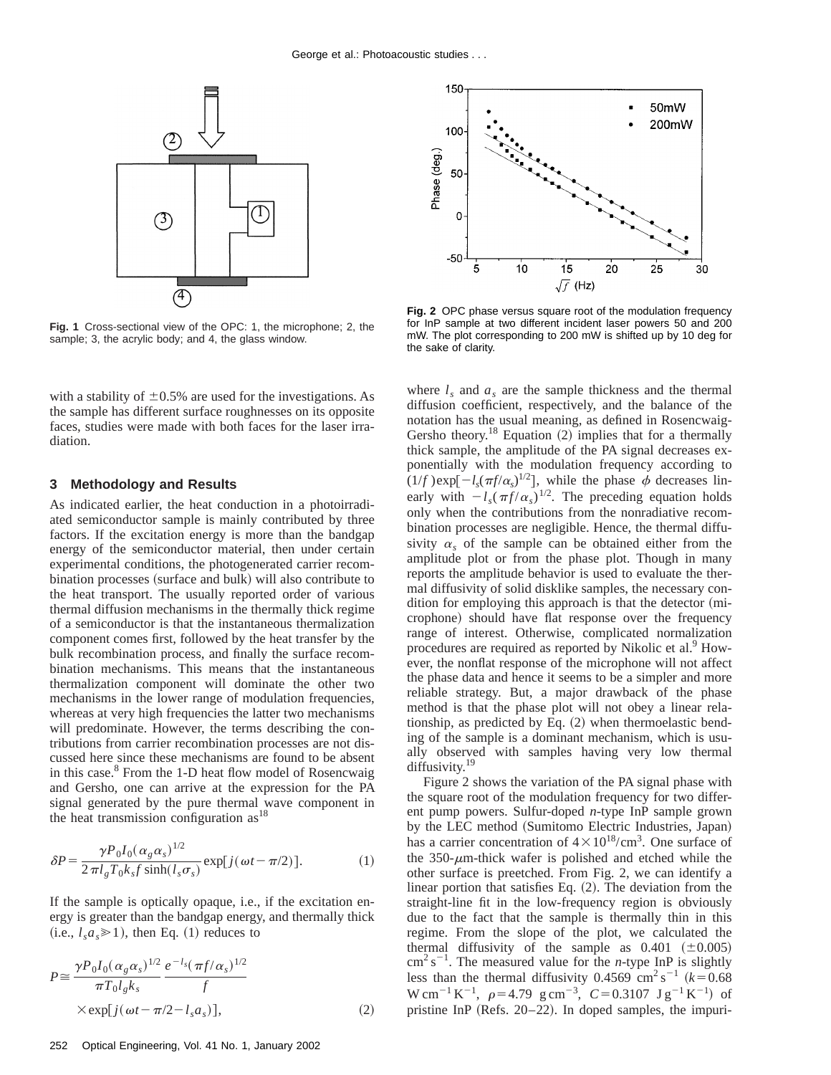

**Fig. 1** Cross-sectional view of the OPC: 1, the microphone; 2, the sample; 3, the acrylic body; and 4, the glass window.

with a stability of  $\pm 0.5$ % are used for the investigations. As the sample has different surface roughnesses on its opposite faces, studies were made with both faces for the laser irradiation.

### **3 Methodology and Results**

As indicated earlier, the heat conduction in a photoirradiated semiconductor sample is mainly contributed by three factors. If the excitation energy is more than the bandgap energy of the semiconductor material, then under certain experimental conditions, the photogenerated carrier recombination processes (surface and bulk) will also contribute to the heat transport. The usually reported order of various thermal diffusion mechanisms in the thermally thick regime of a semiconductor is that the instantaneous thermalization component comes first, followed by the heat transfer by the bulk recombination process, and finally the surface recombination mechanisms. This means that the instantaneous thermalization component will dominate the other two mechanisms in the lower range of modulation frequencies, whereas at very high frequencies the latter two mechanisms will predominate. However, the terms describing the contributions from carrier recombination processes are not discussed here since these mechanisms are found to be absent in this case. $8$  From the 1-D heat flow model of Rosencwaig and Gersho, one can arrive at the expression for the PA signal generated by the pure thermal wave component in the heat transmission configuration  $as<sup>18</sup>$ 

$$
\delta P = \frac{\gamma P_0 I_0 (\alpha_g \alpha_s)^{1/2}}{2 \pi I_g T_0 k_s f \sinh(I_s \sigma_s)} \exp[j(\omega t - \pi/2)]. \tag{1}
$$

If the sample is optically opaque, i.e., if the excitation energy is greater than the bandgap energy, and thermally thick  $(i.e., l<sub>s</sub>a<sub>s</sub> \ge 1),$  then Eq. (1) reduces to

$$
P \approx \frac{\gamma P_0 I_0 (\alpha_g \alpha_s)^{1/2}}{\pi T_0 I_g k_s} \frac{e^{-l_s} (\pi f/\alpha_s)^{1/2}}{f}
$$
  
× exp[ $j(\omega t - \pi/2 - l_s a_s)$ ], (2)



**Fig. 2** OPC phase versus square root of the modulation frequency for InP sample at two different incident laser powers 50 and 200 mW. The plot corresponding to 200 mW is shifted up by 10 deg for the sake of clarity.

where  $l_s$  and  $a_s$  are the sample thickness and the thermal diffusion coefficient, respectively, and the balance of the notation has the usual meaning, as defined in Rosencwaig-Gersho theory.<sup>18</sup> Equation  $(2)$  implies that for a thermally thick sample, the amplitude of the PA signal decreases exponentially with the modulation frequency according to  $(1/f) \exp[-l_s(\pi f/\alpha_s)^{1/2}]$ , while the phase  $\phi$  decreases linearly with  $-l_s(\pi f/\alpha_s)^{1/2}$ . The preceding equation holds only when the contributions from the nonradiative recombination processes are negligible. Hence, the thermal diffusivity  $\alpha_s$  of the sample can be obtained either from the amplitude plot or from the phase plot. Though in many reports the amplitude behavior is used to evaluate the thermal diffusivity of solid disklike samples, the necessary condition for employing this approach is that the detector (microphone) should have flat response over the frequency range of interest. Otherwise, complicated normalization procedures are required as reported by Nikolic et al.<sup>9</sup> However, the nonflat response of the microphone will not affect the phase data and hence it seems to be a simpler and more reliable strategy. But, a major drawback of the phase method is that the phase plot will not obey a linear relationship, as predicted by Eq.  $(2)$  when thermoelastic bending of the sample is a dominant mechanism, which is usually observed with samples having very low thermal diffusivity.<sup>19</sup>

Figure 2 shows the variation of the PA signal phase with the square root of the modulation frequency for two different pump powers. Sulfur-doped *n*-type InP sample grown by the LEC method (Sumitomo Electric Industries, Japan) has a carrier concentration of  $4 \times 10^{18} / \text{cm}^3$ . One surface of the  $350$ - $\mu$ m-thick wafer is polished and etched while the other surface is preetched. From Fig. 2, we can identify a linear portion that satisfies Eq.  $(2)$ . The deviation from the straight-line fit in the low-frequency region is obviously due to the fact that the sample is thermally thin in this regime. From the slope of the plot, we calculated the thermal diffusivity of the sample as  $0.401 ~(\pm 0.005)$  $\text{cm}^2 \text{ s}^{-1}$ . The measured value for the *n*-type InP is slightly less than the thermal diffusivity  $0.4569 \text{ cm}^2 \text{s}^{-1}$  ( $k = 0.68$ )  $W \text{ cm}^{-1} \text{ K}^{-1}$ ,  $\rho = 4.79 \text{ g cm}^{-3}$ ,  $C = 0.3107 \text{ J g}^{-1} \text{ K}^{-1}$  of pristine InP  $(Refs. 20-22)$ . In doped samples, the impuri-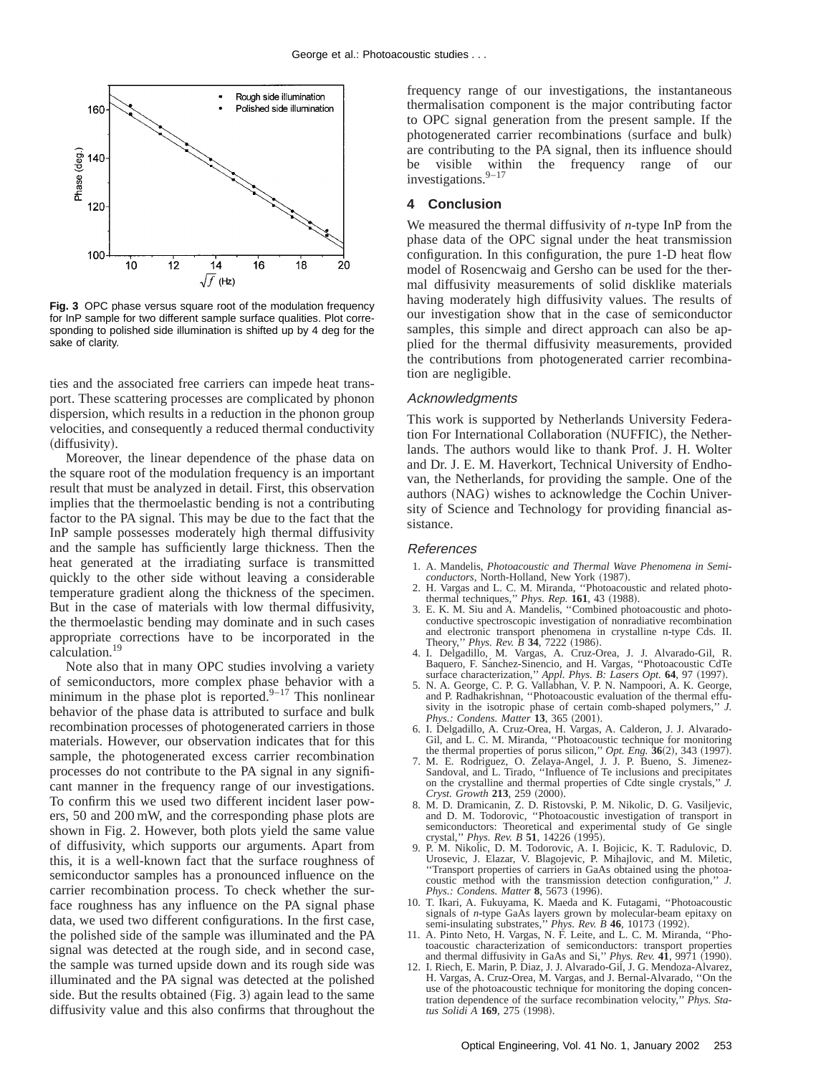

**Fig. 3** OPC phase versus square root of the modulation frequency for InP sample for two different sample surface qualities. Plot corresponding to polished side illumination is shifted up by 4 deg for the sake of clarity.

ties and the associated free carriers can impede heat transport. These scattering processes are complicated by phonon dispersion, which results in a reduction in the phonon group velocities, and consequently a reduced thermal conductivity  $(dif fusivity).$ 

Moreover, the linear dependence of the phase data on the square root of the modulation frequency is an important result that must be analyzed in detail. First, this observation implies that the thermoelastic bending is not a contributing factor to the PA signal. This may be due to the fact that the InP sample possesses moderately high thermal diffusivity and the sample has sufficiently large thickness. Then the heat generated at the irradiating surface is transmitted quickly to the other side without leaving a considerable temperature gradient along the thickness of the specimen. But in the case of materials with low thermal diffusivity, the thermoelastic bending may dominate and in such cases appropriate corrections have to be incorporated in the calculation.19

Note also that in many OPC studies involving a variety of semiconductors, more complex phase behavior with a minimum in the phase plot is reported. $9-17$  This nonlinear behavior of the phase data is attributed to surface and bulk recombination processes of photogenerated carriers in those materials. However, our observation indicates that for this sample, the photogenerated excess carrier recombination processes do not contribute to the PA signal in any significant manner in the frequency range of our investigations. To confirm this we used two different incident laser powers, 50 and 200 mW, and the corresponding phase plots are shown in Fig. 2. However, both plots yield the same value of diffusivity, which supports our arguments. Apart from this, it is a well-known fact that the surface roughness of semiconductor samples has a pronounced influence on the carrier recombination process. To check whether the surface roughness has any influence on the PA signal phase data, we used two different configurations. In the first case, the polished side of the sample was illuminated and the PA signal was detected at the rough side, and in second case, the sample was turned upside down and its rough side was illuminated and the PA signal was detected at the polished side. But the results obtained  $(Fig. 3)$  again lead to the same diffusivity value and this also confirms that throughout the

frequency range of our investigations, the instantaneous thermalisation component is the major contributing factor to OPC signal generation from the present sample. If the photogenerated carrier recombinations (surface and bulk) are contributing to the PA signal, then its influence should be visible within the frequency range of our investigations.<sup>9–17</sup>

### **4 Conclusion**

We measured the thermal diffusivity of *n*-type InP from the phase data of the OPC signal under the heat transmission configuration. In this configuration, the pure 1-D heat flow model of Rosencwaig and Gersho can be used for the thermal diffusivity measurements of solid disklike materials having moderately high diffusivity values. The results of our investigation show that in the case of semiconductor samples, this simple and direct approach can also be applied for the thermal diffusivity measurements, provided the contributions from photogenerated carrier recombination are negligible.

#### Acknowledgments

This work is supported by Netherlands University Federation For International Collaboration (NUFFIC), the Netherlands. The authors would like to thank Prof. J. H. Wolter and Dr. J. E. M. Haverkort, Technical University of Endhovan, the Netherlands, for providing the sample. One of the authors (NAG) wishes to acknowledge the Cochin University of Science and Technology for providing financial assistance.

#### References

- 1. A. Mandelis, *Photoacoustic and Thermal Wave Phenomena in Semi-*
- conductors, North-Holland, New York (1987).<br>2. H. Vargas and L. C. M. Miranda, "Photoacoustic and related photo-<br>thermal techniques," *Phys. Rep.* **161**, 43 (1988).<br>3. E. K. M. Siu and A. Mandelis, "Combined photoacoustic
- and electronic transport phenomena in crystalline n-type Cds. II. Theory," Phys. Rev. B 34, 7222 (1986).
- Theory," Phys. Rev. B 34, 7222 (1986).<br>
4. I. Delgadillo, M. Vargas, A. Cruz-Orea, J. J. Alvarado-Gil, R. Baquero, F. Sánchez-Sinencio, and H. Vargas, "Photoacoustic CdTe surface characterization," Appl. Phys. B: Lasers Op
- sivity in the isotropic phase of certain comb-shaped polymers," *J.* Phys.: Condens. Matter 13, 365 (2001).
- *Phys.: Condens. Matter* **13**, 365 (2001).<br>6. I. Delgadillo, A. Cruz-Orea, H. Vargas, A. Calderon, J. J. Alvarado-<br>Gil, and L. C. M. Miranda, "Photoacoustic technique for monitoring
- the thermal properties of porus silicon," *Opt. Eng.* **36**(2), 343 (1997).<br>7. M. E. Rodriguez, O. Zelaya-Angel, J. J. P. Bueno, S. Jimenez-Sandoval, and L. Tirado, "Influence of Te inclusions and precipitates on the crystalline and thermal properties of Cdte single crystals,'' *J.*  $C$ ryst. Growth 213, 259 (2000).
- 8. M. D. Dramicanin, Z. D. Ristovski, P. M. Nikolic, D. G. Vasiljevic, and D. M. Todorovic, ''Photoacoustic investigation of transport in semiconductors: Theoretical and experimental study of Ge single crystal," *Phys. Rev. B* **51**, 14226 (1995).
- 9. P. M. Nikolic, D. M. Todorovic, A. I. Bojicic, K. T. Radulovic, D. Urosevic, J. Elazar, V. Blagojevic, P. Mihajlovic, and M. Miletic, ''Transport properties of carriers in GaAs obtained using the photoacoustic method with the transmission detection configuration,'' *J. Phys.: Condens. Matter* 8, 5673 (1996).
- 10. T. Ikari, A. Fukuyama, K. Maeda and K. Futagami, ''Photoacoustic signals of *n*-type GaAs layers grown by molecular-beam epitaxy on semi-insulating substrates," *Phys. Rev. B* **46**, 10173 (1992). 11. A. Pinto Neto, H. Vargas, N. F. Leite, and L. C. M. Miranda, "Pho-
- toacoustic characterization of semiconductors: transport properties and thermal diffusivity in GaAs and Si," *Phys. Rev.*  $4\hat{1}$ , 9971 (1990). 12. I. Riech, E. Marin, P. Diaz, J. J. Alvarado-Gil, J. G. Mendoza-Alvarez,
- H. Vargas, A. Cruz-Orea, M. Vargas, and J. Bernal-Alvarado, ''On the use of the photoacoustic technique for monitoring the doping concentration dependence of the surface recombination velocity,'' *Phys. Status Solidi A* 169, 275 (1998).